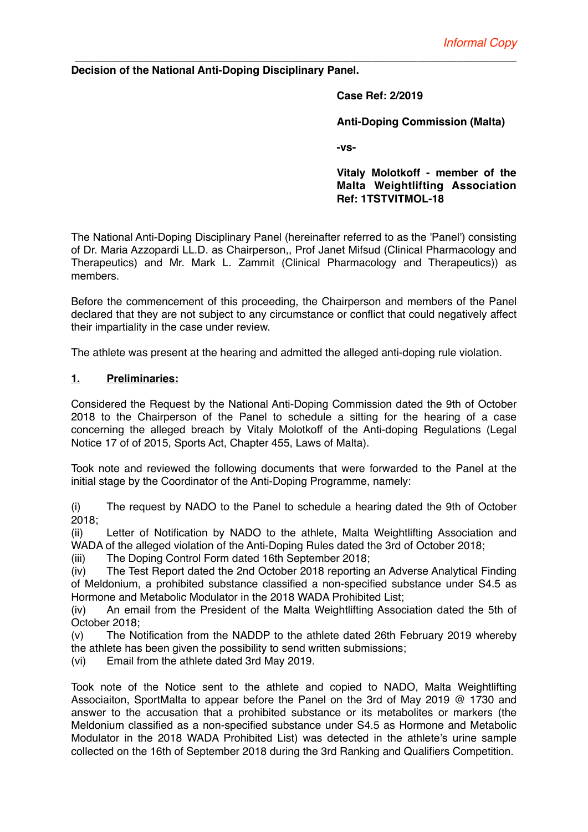## **Decision of the National Anti-Doping Disciplinary Panel.**

**Case Ref: 2/2019**

**Anti-Doping Commission (Malta)**

**-vs-**

**Vitaly Molotkoff - member of the Malta Weightlifting Association Ref: 1TSTVITMOL-18** 

The National Anti-Doping Disciplinary Panel (hereinafter referred to as the 'Panel') consisting of Dr. Maria Azzopardi LL.D. as Chairperson,, Prof Janet Mifsud (Clinical Pharmacology and Therapeutics) and Mr. Mark L. Zammit (Clinical Pharmacology and Therapeutics)) as members.

*\_\_\_\_\_\_\_\_\_\_\_\_\_\_\_\_\_\_\_\_\_\_\_\_\_\_\_\_\_\_\_\_\_\_\_\_\_\_\_\_\_\_\_\_\_\_\_\_\_\_\_\_\_\_\_\_\_\_\_\_\_\_\_\_\_\_\_*

Before the commencement of this proceeding, the Chairperson and members of the Panel declared that they are not subject to any circumstance or conflict that could negatively affect their impartiality in the case under review.

The athlete was present at the hearing and admitted the alleged anti-doping rule violation.

## **1. Preliminaries:**

Considered the Request by the National Anti-Doping Commission dated the 9th of October 2018 to the Chairperson of the Panel to schedule a sitting for the hearing of a case concerning the alleged breach by Vitaly Molotkoff of the Anti-doping Regulations (Legal Notice 17 of of 2015, Sports Act, Chapter 455, Laws of Malta).

Took note and reviewed the following documents that were forwarded to the Panel at the initial stage by the Coordinator of the Anti-Doping Programme, namely:

(i) The request by NADO to the Panel to schedule a hearing dated the 9th of October 2018;

(ii) Letter of Notification by NADO to the athlete, Malta Weightlifting Association and WADA of the alleged violation of the Anti-Doping Rules dated the 3rd of October 2018;

(iii) The Doping Control Form dated 16th September 2018;

(iv) The Test Report dated the 2nd October 2018 reporting an Adverse Analytical Finding of Meldonium, a prohibited substance classified a non-specified substance under S4.5 as Hormone and Metabolic Modulator in the 2018 WADA Prohibited List;

(iv) An email from the President of the Malta Weightlifting Association dated the 5th of October 2018;

(v) The Notification from the NADDP to the athlete dated 26th February 2019 whereby the athlete has been given the possibility to send written submissions;

(vi) Email from the athlete dated 3rd May 2019.

Took note of the Notice sent to the athlete and copied to NADO, Malta Weightlifting Associaiton, SportMalta to appear before the Panel on the 3rd of May 2019 @ 1730 and answer to the accusation that a prohibited substance or its metabolites or markers (the Meldonium classified as a non-specified substance under S4.5 as Hormone and Metabolic Modulator in the 2018 WADA Prohibited List) was detected in the athlete's urine sample collected on the 16th of September 2018 during the 3rd Ranking and Qualifiers Competition.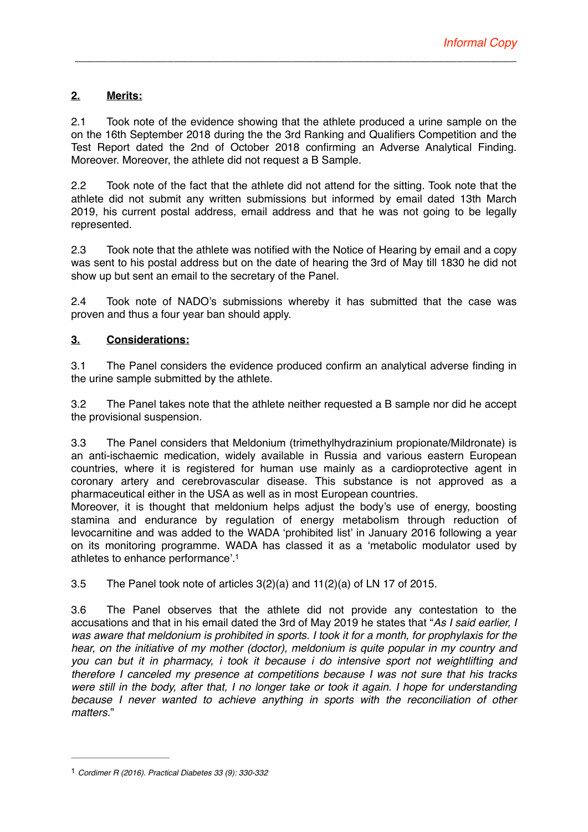# **2. Merits:**

2.1 Took note of the evidence showing that the athlete produced a urine sample on the on the 16th September 2018 during the the 3rd Ranking and Qualifiers Competition and the Test Report dated the 2nd of October 2018 confirming an Adverse Analytical Finding. Moreover. Moreover, the athlete did not request a B Sample.

*\_\_\_\_\_\_\_\_\_\_\_\_\_\_\_\_\_\_\_\_\_\_\_\_\_\_\_\_\_\_\_\_\_\_\_\_\_\_\_\_\_\_\_\_\_\_\_\_\_\_\_\_\_\_\_\_\_\_\_\_\_\_\_\_\_\_\_*

2.2 Took note of the fact that the athlete did not attend for the sitting. Took note that the athlete did not submit any written submissions but informed by email dated 13th March 2019, his current postal address, email address and that he was not going to be legally represented.

2.3 Took note that the athlete was notified with the Notice of Hearing by email and a copy was sent to his postal address but on the date of hearing the 3rd of May till 1830 he did not show up but sent an email to the secretary of the Panel.

2.4 Took note of NADO's submissions whereby it has submitted that the case was proven and thus a four year ban should apply.

## **3. Considerations:**

3.1 The Panel considers the evidence produced confirm an analytical adverse finding in the urine sample submitted by the athlete.

3.2 The Panel takes note that the athlete neither requested a B sample nor did he accept the provisional suspension.

3.3 The Panel considers that Meldonium (trimethylhydrazinium propionate/Mildronate) is an anti-ischaemic medication, widely available in Russia and various eastern European countries, where it is registered for human use mainly as a cardioprotective agent in coronary artery and cerebrovascular disease. This substance is not approved as a pharmaceutical either in the USA as well as in most European countries.

Moreover, it is thought that meldonium helps adjust the body's use of energy, boosting stamina and endurance by regulation of energy metabolism through reduction of levocarnitine and was added to the WADA 'prohibited list' in January 2016 following a year on its monitoring programme. WADA has classed it as a 'metabolic modulator used by athletes to enhance performance'[.1](#page-1-0)

<span id="page-1-1"></span>3.5 The Panel took note of articles 3(2)(a) and 11(2)(a) of LN 17 of 2015.

3.6 The Panel observes that the athlete did not provide any contestation to the accusations and that in his email dated the 3rd of May 2019 he states that "*As I said earlier, I was aware that meldonium is prohibited in sports. I took it for a month, for prophylaxis for the hear, on the initiative of my mother (doctor), meldonium is quite popular in my country and you can but it in pharmacy, i took it because i do intensive sport not weightlifting and therefore I canceled my presence at competitions because I was not sure that his tracks were still in the body, after that, I no longer take or took it again. I hope for understanding*  because I never wanted to achieve anything in sports with the reconciliation of other *matters.*"

<span id="page-1-0"></span>[<sup>1</sup>](#page-1-1) *Cordimer R (2016). Practical Diabetes 33 (9): 330-332*